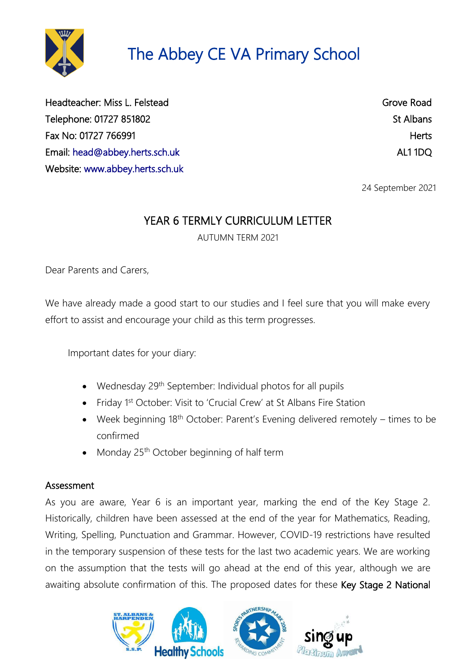

Headteacher: Miss L. Felstead Grove Road Grove Road Telephone: 01727 851802 St Albans Fax No: 01727 766991 Herts Email: [head@abbey.herts.sch.uk](mailto:head@abbey.herts.sch.uk) AL1 1DQ Website: [www.abbey.herts.sch.uk](http://www.abbey.herts.sch.uk/) 

24 September 2021

# YEAR 6 TERMLY CURRICULUM LETTER

AUTUMN TERM 2021

Dear Parents and Carers,

We have already made a good start to our studies and I feel sure that you will make every effort to assist and encourage your child as this term progresses.

Important dates for your diary:

- Wednesday  $29<sup>th</sup>$  September: Individual photos for all pupils
- Friday 1<sup>st</sup> October: Visit to 'Crucial Crew' at St Albans Fire Station
- Week beginning 18<sup>th</sup> October: Parent's Evening delivered remotely times to be confirmed
- Monday 25<sup>th</sup> October beginning of half term

#### Assessment

As you are aware, Year 6 is an important year, marking the end of the Key Stage 2. Historically, children have been assessed at the end of the year for Mathematics, Reading, Writing, Spelling, Punctuation and Grammar. However, COVID-19 restrictions have resulted in the temporary suspension of these tests for the last two academic years. We are working on the assumption that the tests will go ahead at the end of this year, although we are awaiting absolute confirmation of this. The proposed dates for these Key Stage 2 National

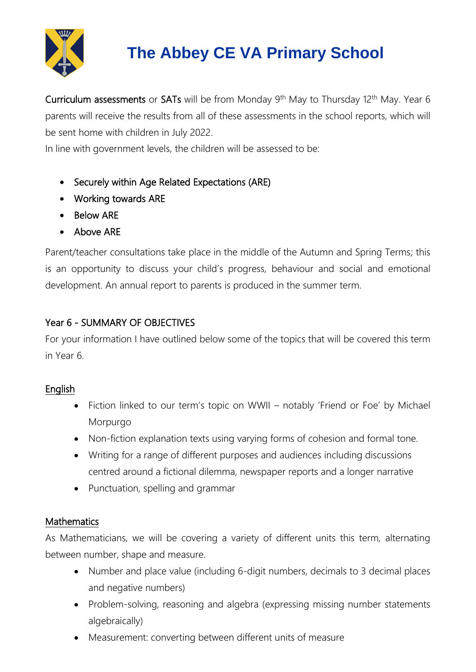

Curriculum assessments or SATs will be from Monday  $9<sup>th</sup>$  May to Thursday 12<sup>th</sup> May. Year 6 parents will receive the results from all of these assessments in the school reports, which will be sent home with children in July 2022.

In line with government levels, the children will be assessed to be:

- Securely within Age Related Expectations (ARE)
- Working towards ARE
- Below ARF
- Above ARE

Parent/teacher consultations take place in the middle of the Autumn and Spring Terms; this is an opportunity to discuss your child's progress, behaviour and social and emotional development. An annual report to parents is produced in the summer term.

## Year 6 - SUMMARY OF OBJECTIVES

For your information I have outlined below some of the topics that will be covered this term in Year 6.

## English

- Fiction linked to our term's topic on WWII notably 'Friend or Foe' by Michael Morpurgo
- Non-fiction explanation texts using varying forms of cohesion and formal tone.
- Writing for a range of different purposes and audiences including discussions centred around a fictional dilemma, newspaper reports and a longer narrative
- Punctuation, spelling and grammar

## **Mathematics**

As Mathematicians, we will be covering a variety of different units this term, alternating between number, shape and measure.

- Number and place value (including 6-digit numbers, decimals to 3 decimal places and negative numbers)
- Problem-solving, reasoning and algebra (expressing missing number statements algebraically)
- Measurement: converting between different units of measure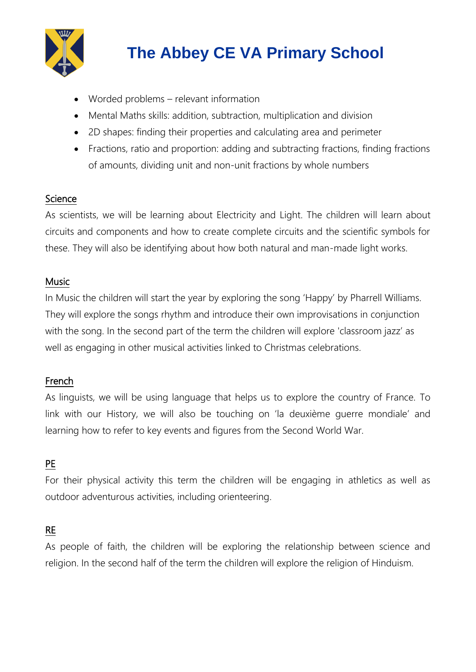

- Worded problems relevant information
- Mental Maths skills: addition, subtraction, multiplication and division
- 2D shapes: finding their properties and calculating area and perimeter
- Fractions, ratio and proportion: adding and subtracting fractions, finding fractions of amounts, dividing unit and non-unit fractions by whole numbers

## **Science**

As scientists, we will be learning about Electricity and Light. The children will learn about circuits and components and how to create complete circuits and the scientific symbols for these. They will also be identifying about how both natural and man-made light works.

### Music

In Music the children will start the year by exploring the song 'Happy' by Pharrell Williams. They will explore the songs rhythm and introduce their own improvisations in conjunction with the song. In the second part of the term the children will explore 'classroom jazz' as well as engaging in other musical activities linked to Christmas celebrations.

## French

As linguists, we will be using language that helps us to explore the country of France. To link with our History, we will also be touching on 'la deuxième guerre mondiale' and learning how to refer to key events and figures from the Second World War.

# PE

For their physical activity this term the children will be engaging in athletics as well as outdoor adventurous activities, including orienteering.

### RE

As people of faith, the children will be exploring the relationship between science and religion. In the second half of the term the children will explore the religion of Hinduism.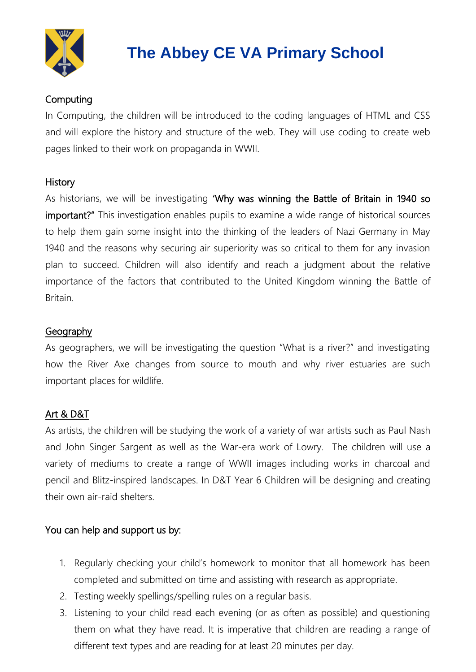

## Computing

In Computing, the children will be introduced to the coding languages of HTML and CSS and will explore the history and structure of the web. They will use coding to create web pages linked to their work on propaganda in WWII.

#### **History**

As historians, we will be investigating 'Why was winning the Battle of Britain in 1940 so important?" This investigation enables pupils to examine a wide range of historical sources to help them gain some insight into the thinking of the leaders of Nazi Germany in May 1940 and the reasons why securing air superiority was so critical to them for any invasion plan to succeed. Children will also identify and reach a judgment about the relative importance of the factors that contributed to the United Kingdom winning the Battle of Britain.

### Geography

As geographers, we will be investigating the question "What is a river?" and investigating how the River Axe changes from source to mouth and why river estuaries are such important places for wildlife.

### Art & D&T

As artists, the children will be studying the work of a variety of war artists such as Paul Nash and John Singer Sargent as well as the War-era work of Lowry. The children will use a variety of mediums to create a range of WWII images including works in charcoal and pencil and Blitz-inspired landscapes. In D&T Year 6 Children will be designing and creating their own air-raid shelters.

### You can help and support us by:

- 1. Regularly checking your child's homework to monitor that all homework has been completed and submitted on time and assisting with research as appropriate.
- 2. Testing weekly spellings/spelling rules on a regular basis.
- 3. Listening to your child read each evening (or as often as possible) and questioning them on what they have read. It is imperative that children are reading a range of different text types and are reading for at least 20 minutes per day.